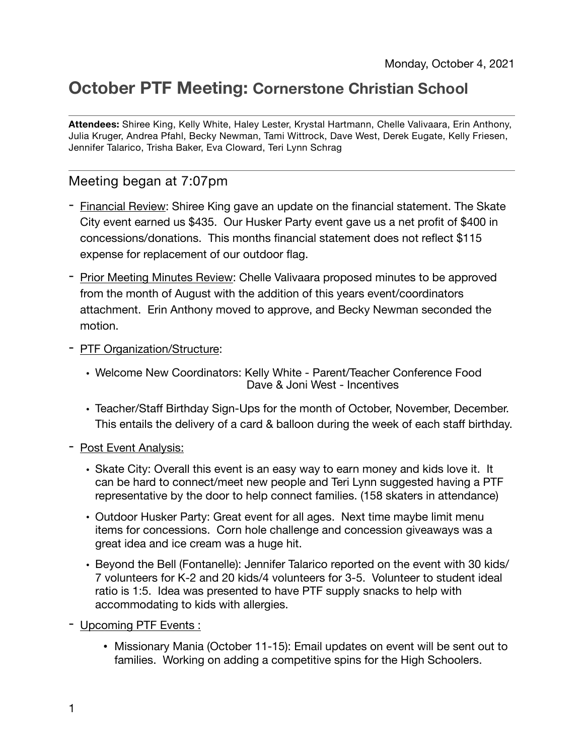## **October PTF Meeting: Cornerstone Christian School**

**Attendees:** Shiree King, Kelly White, Haley Lester, Krystal Hartmann, Chelle Valivaara, Erin Anthony, Julia Kruger, Andrea Pfahl, Becky Newman, Tami Wittrock, Dave West, Derek Eugate, Kelly Friesen, Jennifer Talarico, Trisha Baker, Eva Cloward, Teri Lynn Schrag

## Meeting began at 7:07pm

- Financial Review: Shiree King gave an update on the financial statement. The Skate City event earned us \$435. Our Husker Party event gave us a net profit of \$400 in concessions/donations. This months financial statement does not reflect \$115 expense for replacement of our outdoor flag.
- Prior Meeting Minutes Review: Chelle Valivaara proposed minutes to be approved from the month of August with the addition of this years event/coordinators attachment. Erin Anthony moved to approve, and Becky Newman seconded the motion.
- PTF Organization/Structure:
	- Welcome New Coordinators: Kelly White Parent/Teacher Conference Food Dave & Joni West - Incentives
	- Teacher/Staff Birthday Sign-Ups for the month of October, November, December. This entails the delivery of a card & balloon during the week of each staff birthday.
- Post Event Analysis:
	- Skate City: Overall this event is an easy way to earn money and kids love it. It can be hard to connect/meet new people and Teri Lynn suggested having a PTF representative by the door to help connect families. (158 skaters in attendance)
	- Outdoor Husker Party: Great event for all ages. Next time maybe limit menu items for concessions. Corn hole challenge and concession giveaways was a great idea and ice cream was a huge hit.
	- Beyond the Bell (Fontanelle): Jennifer Talarico reported on the event with 30 kids/ 7 volunteers for K-2 and 20 kids/4 volunteers for 3-5. Volunteer to student ideal ratio is 1:5. Idea was presented to have PTF supply snacks to help with accommodating to kids with allergies.
- Upcoming PTF Events :
	- Missionary Mania (October 11-15): Email updates on event will be sent out to families. Working on adding a competitive spins for the High Schoolers.